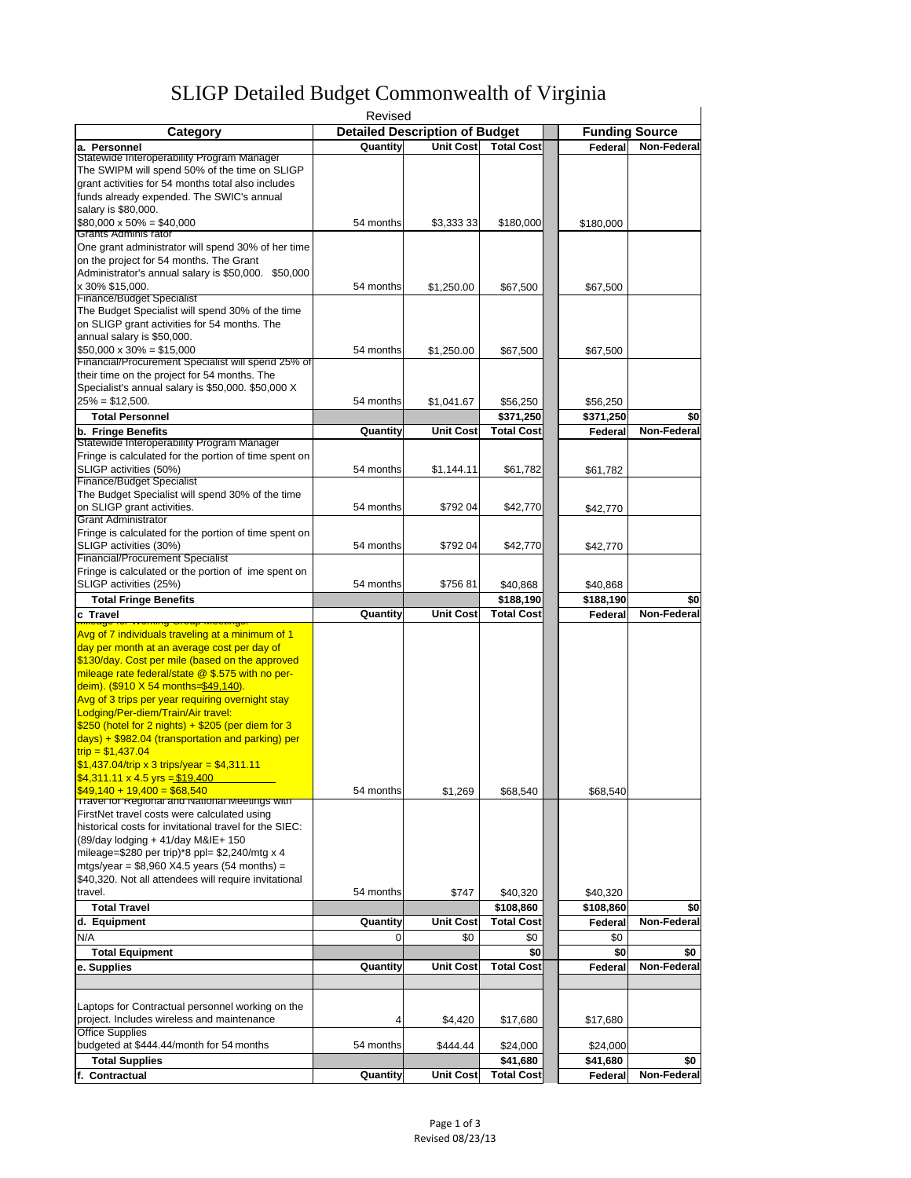| <b>SLIGP Detailed Budget Commonwealth of Virginia</b> |  |
|-------------------------------------------------------|--|
|-------------------------------------------------------|--|

|                                                                                                         | Revised   |                                       |                   |           |                       |
|---------------------------------------------------------------------------------------------------------|-----------|---------------------------------------|-------------------|-----------|-----------------------|
| Category                                                                                                |           | <b>Detailed Description of Budget</b> |                   |           | <b>Funding Source</b> |
| a. Personnel                                                                                            | Quantity  | <b>Unit Cost</b>                      | <b>Total Cost</b> | Federal   | Non-Federal           |
| Statewide Interoperability Program Manager                                                              |           |                                       |                   |           |                       |
| The SWIPM will spend 50% of the time on SLIGP                                                           |           |                                       |                   |           |                       |
| grant activities for 54 months total also includes                                                      |           |                                       |                   |           |                       |
| funds already expended. The SWIC's annual                                                               |           |                                       |                   |           |                       |
| salary is \$80,000.                                                                                     |           |                                       |                   |           |                       |
| $$80,000 \times 50\% = $40,000$                                                                         | 54 months | \$3,333 33                            | \$180,000         | \$180,000 |                       |
| Grants Adminis rator                                                                                    |           |                                       |                   |           |                       |
| One grant administrator will spend 30% of her time                                                      |           |                                       |                   |           |                       |
| on the project for 54 months. The Grant                                                                 |           |                                       |                   |           |                       |
| Administrator's annual salary is \$50,000. \$50,000                                                     |           |                                       |                   |           |                       |
| x 30% \$15,000.                                                                                         | 54 months | \$1,250.00                            | \$67,500          | \$67,500  |                       |
| <b>Finance/Budget Specialist</b>                                                                        |           |                                       |                   |           |                       |
| The Budget Specialist will spend 30% of the time                                                        |           |                                       |                   |           |                       |
| on SLIGP grant activities for 54 months. The                                                            |           |                                       |                   |           |                       |
| annual salary is \$50,000.                                                                              |           |                                       |                   |           |                       |
| $$50,000 \times 30\% = $15,000$                                                                         | 54 months | \$1,250.00                            | \$67,500          | \$67,500  |                       |
| Financial/Procurement Specialist will spend 25% of                                                      |           |                                       |                   |           |                       |
| their time on the project for 54 months. The                                                            |           |                                       |                   |           |                       |
| Specialist's annual salary is \$50,000. \$50,000 X                                                      |           |                                       |                   |           |                       |
| $25% = $12,500.$                                                                                        | 54 months | \$1,041.67                            | \$56,250          | \$56,250  |                       |
| <b>Total Personnel</b>                                                                                  |           |                                       | \$371,250         | \$371,250 | \$0                   |
| b. Fringe Benefits                                                                                      | Quantity  | <b>Unit Cost</b>                      | <b>Total Cost</b> | Federal   | Non-Federal           |
| Statewide Interoperability Program Manager                                                              |           |                                       |                   |           |                       |
| Fringe is calculated for the portion of time spent on                                                   |           |                                       |                   |           |                       |
| SLIGP activities (50%)                                                                                  | 54 months | \$1,144.11                            | \$61,782          | \$61,782  |                       |
| <b>Finance/Budget Specialist</b>                                                                        |           |                                       |                   |           |                       |
| The Budget Specialist will spend 30% of the time                                                        |           |                                       |                   |           |                       |
| on SLIGP grant activities.                                                                              | 54 months | \$792 04                              | \$42,770          | \$42,770  |                       |
| <b>Grant Administrator</b>                                                                              |           |                                       |                   |           |                       |
| Fringe is calculated for the portion of time spent on                                                   |           |                                       |                   |           |                       |
| SLIGP activities (30%)                                                                                  | 54 months | \$792 04                              | \$42,770          | \$42,770  |                       |
| <b>Financial/Procurement Specialist</b>                                                                 |           |                                       |                   |           |                       |
| Fringe is calculated or the portion of ime spent on                                                     |           |                                       |                   |           |                       |
| SLIGP activities (25%)                                                                                  | 54 months | \$75681                               | \$40,868          | \$40,868  |                       |
| <b>Total Fringe Benefits</b>                                                                            |           |                                       | \$188,190         | \$188,190 | \$0                   |
| c Travel                                                                                                | Quantity  | <b>Unit Cost</b>                      | <b>Total Cost</b> | Federal   | Non-Federal           |
| <u>טוטטאו עטטוט</u>                                                                                     |           |                                       |                   |           |                       |
| Avg of 7 individuals traveling at a minimum of 1                                                        |           |                                       |                   |           |                       |
| day per month at an average cost per day of                                                             |           |                                       |                   |           |                       |
| \$130/day. Cost per mile (based on the approved<br>mileage rate federal/state @ \$.575 with no per-     |           |                                       |                   |           |                       |
|                                                                                                         |           |                                       |                   |           |                       |
| deim). (\$910 X 54 months=\$49,140).<br>Avg of 3 trips per year requiring overnight stay                |           |                                       |                   |           |                       |
| Lodging/Per-diem/Train/Air travel:                                                                      |           |                                       |                   |           |                       |
| $$250$ (hotel for 2 nights) + \$205 (per diem for 3                                                     |           |                                       |                   |           |                       |
|                                                                                                         |           |                                       |                   |           |                       |
| $\frac{1}{2}$ days) + \$982.04 (transportation and parking) per                                         |           |                                       |                   |           |                       |
| $trip = $1,437.04$                                                                                      |           |                                       |                   |           |                       |
| $$1,437.04$ /trip x 3 trips/year = \$4,311.11                                                           |           |                                       |                   |           |                       |
| $\frac{\$4,311.11 \times 4.5 \text{ yrs} = \frac{\$19,400}{500}}{1000}$<br>$$49,140 + 19,400 = $68,540$ |           |                                       |                   |           |                       |
| Travel for Regional and National Meetings with                                                          | 54 months | \$1,269                               | \$68,540          | \$68,540  |                       |
| FirstNet travel costs were calculated using                                                             |           |                                       |                   |           |                       |
| historical costs for invitational travel for the SIEC:                                                  |           |                                       |                   |           |                       |
| (89/day lodging + 41/day M&IE+ 150                                                                      |           |                                       |                   |           |                       |
| mileage=\$280 per trip)*8 ppl= \$2,240/mtg x 4                                                          |           |                                       |                   |           |                       |
| mtgs/year = $$8,960$ X4.5 years (54 months) =                                                           |           |                                       |                   |           |                       |
| \$40,320. Not all attendees will require invitational                                                   |           |                                       |                   |           |                       |
| travel.                                                                                                 | 54 months |                                       |                   |           |                       |
|                                                                                                         |           | \$747                                 | \$40,320          | \$40,320  |                       |
| <b>Total Travel</b>                                                                                     |           |                                       | \$108,860         | \$108,860 | \$0                   |
| d. Equipment                                                                                            | Quantity  | <b>Unit Cost</b>                      | <b>Total Cost</b> | Federal   | Non-Federal           |
| N/A                                                                                                     | 0         | \$0                                   | \$0               | \$0       |                       |
| <b>Total Equipment</b>                                                                                  |           |                                       | \$0               | \$0       | \$0                   |
| e. Supplies                                                                                             | Quantity  | <b>Unit Cost</b>                      | <b>Total Cost</b> | Federal   | Non-Federal           |
|                                                                                                         |           |                                       |                   |           |                       |
|                                                                                                         |           |                                       |                   |           |                       |
| Laptops for Contractual personnel working on the                                                        |           |                                       |                   |           |                       |
| project. Includes wireless and maintenance                                                              | 4         | \$4,420                               | \$17,680          | \$17,680  |                       |
| <b>Office Supplies</b>                                                                                  |           |                                       |                   |           |                       |
| budgeted at \$444.44/month for 54 months                                                                | 54 months | \$444.44                              | \$24,000          | \$24,000  |                       |
| <b>Total Supplies</b>                                                                                   |           |                                       | \$41,680          | \$41,680  | \$0                   |
| f. Contractual                                                                                          | Quantity  | <b>Unit Cost</b>                      | <b>Total Cost</b> | Federal   | Non-Federal           |
|                                                                                                         |           |                                       |                   |           |                       |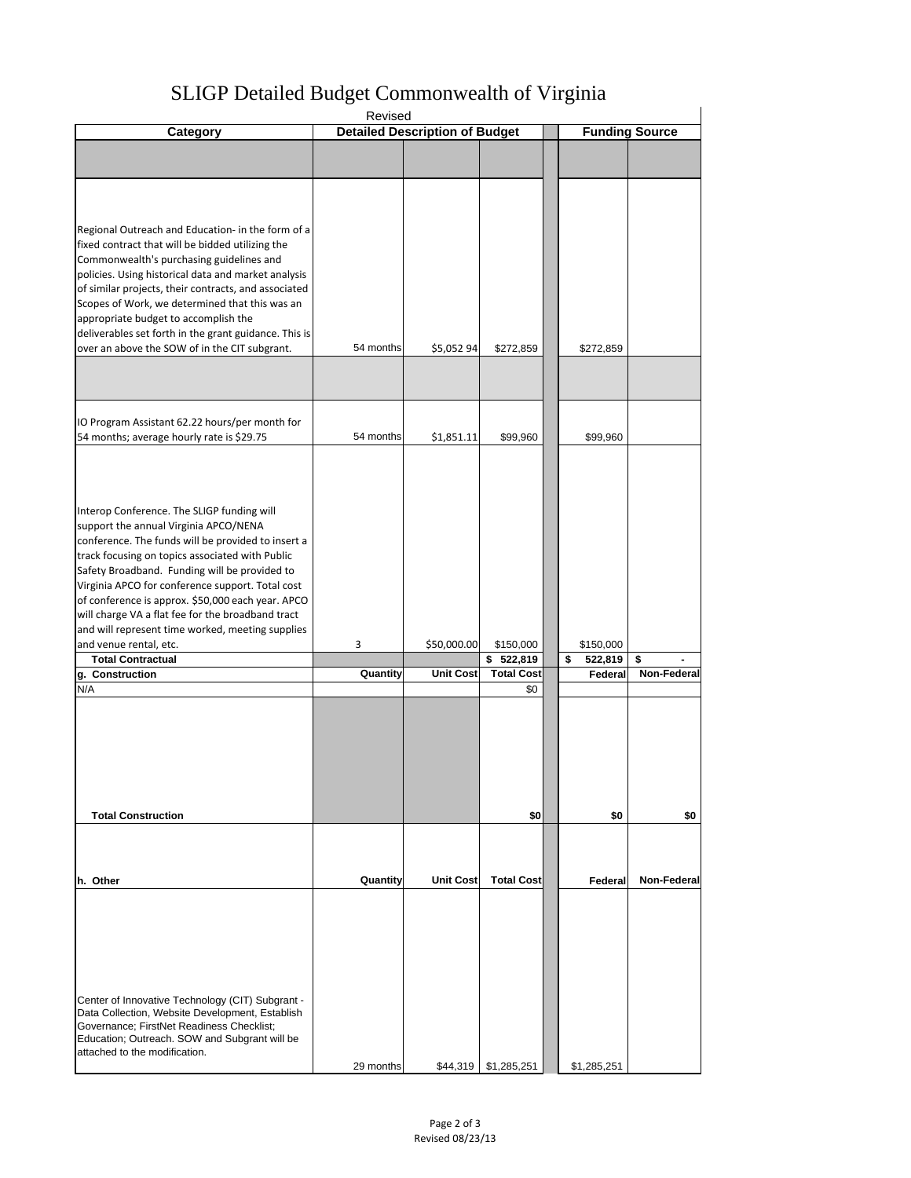# SLIGP Detailed Budget Commonwealth of Virginia

|                                                       | Revised   |                                       |                        |               |                       |
|-------------------------------------------------------|-----------|---------------------------------------|------------------------|---------------|-----------------------|
| Category                                              |           | <b>Detailed Description of Budget</b> |                        |               | <b>Funding Source</b> |
|                                                       |           |                                       |                        |               |                       |
|                                                       |           |                                       |                        |               |                       |
|                                                       |           |                                       |                        |               |                       |
|                                                       |           |                                       |                        |               |                       |
|                                                       |           |                                       |                        |               |                       |
|                                                       |           |                                       |                        |               |                       |
| Regional Outreach and Education- in the form of a     |           |                                       |                        |               |                       |
| fixed contract that will be bidded utilizing the      |           |                                       |                        |               |                       |
| Commonwealth's purchasing guidelines and              |           |                                       |                        |               |                       |
| policies. Using historical data and market analysis   |           |                                       |                        |               |                       |
| of similar projects, their contracts, and associated  |           |                                       |                        |               |                       |
| Scopes of Work, we determined that this was an        |           |                                       |                        |               |                       |
| appropriate budget to accomplish the                  |           |                                       |                        |               |                       |
| deliverables set forth in the grant guidance. This is |           |                                       |                        |               |                       |
| over an above the SOW of in the CIT subgrant.         | 54 months | \$5,052 94                            |                        |               |                       |
|                                                       |           |                                       | \$272,859              | \$272,859     |                       |
|                                                       |           |                                       |                        |               |                       |
|                                                       |           |                                       |                        |               |                       |
|                                                       |           |                                       |                        |               |                       |
|                                                       |           |                                       |                        |               |                       |
| IO Program Assistant 62.22 hours/per month for        |           |                                       |                        |               |                       |
| 54 months; average hourly rate is \$29.75             | 54 months | \$1,851.11                            | \$99,960               | \$99,960      |                       |
|                                                       |           |                                       |                        |               |                       |
|                                                       |           |                                       |                        |               |                       |
|                                                       |           |                                       |                        |               |                       |
|                                                       |           |                                       |                        |               |                       |
|                                                       |           |                                       |                        |               |                       |
| Interop Conference. The SLIGP funding will            |           |                                       |                        |               |                       |
| support the annual Virginia APCO/NENA                 |           |                                       |                        |               |                       |
| conference. The funds will be provided to insert a    |           |                                       |                        |               |                       |
| track focusing on topics associated with Public       |           |                                       |                        |               |                       |
| Safety Broadband. Funding will be provided to         |           |                                       |                        |               |                       |
| Virginia APCO for conference support. Total cost      |           |                                       |                        |               |                       |
| of conference is approx. \$50,000 each year. APCO     |           |                                       |                        |               |                       |
| will charge VA a flat fee for the broadband tract     |           |                                       |                        |               |                       |
| and will represent time worked, meeting supplies      |           |                                       |                        |               |                       |
| and venue rental, etc.                                | 3         | \$50,000.00                           | \$150,000              | \$150,000     |                       |
| <b>Total Contractual</b>                              |           |                                       | \$522,819              | \$<br>522,819 | \$                    |
| g. Construction                                       | Quantity  | <b>Unit Cost</b>                      | <b>Total Cost</b>      | Federal       | Non-Federal           |
| N/A                                                   |           |                                       | \$0                    |               |                       |
|                                                       |           |                                       |                        |               |                       |
|                                                       |           |                                       |                        |               |                       |
|                                                       |           |                                       |                        |               |                       |
|                                                       |           |                                       |                        |               |                       |
|                                                       |           |                                       |                        |               |                       |
|                                                       |           |                                       |                        |               |                       |
|                                                       |           |                                       |                        |               |                       |
|                                                       |           |                                       |                        |               |                       |
| <b>Total Construction</b>                             |           |                                       |                        |               |                       |
|                                                       |           |                                       | \$0                    | \$0           | \$0                   |
|                                                       |           |                                       |                        |               |                       |
|                                                       |           |                                       |                        |               |                       |
|                                                       |           |                                       |                        |               |                       |
| h. Other                                              | Quantity  | <b>Unit Cost</b>                      | <b>Total Cost</b>      | Federal       | <b>Non-Federal</b>    |
|                                                       |           |                                       |                        |               |                       |
|                                                       |           |                                       |                        |               |                       |
|                                                       |           |                                       |                        |               |                       |
|                                                       |           |                                       |                        |               |                       |
|                                                       |           |                                       |                        |               |                       |
|                                                       |           |                                       |                        |               |                       |
|                                                       |           |                                       |                        |               |                       |
|                                                       |           |                                       |                        |               |                       |
| Center of Innovative Technology (CIT) Subgrant -      |           |                                       |                        |               |                       |
| Data Collection, Website Development, Establish       |           |                                       |                        |               |                       |
| Governance; FirstNet Readiness Checklist;             |           |                                       |                        |               |                       |
| Education; Outreach. SOW and Subgrant will be         |           |                                       |                        |               |                       |
| attached to the modification.                         |           |                                       |                        |               |                       |
|                                                       | 29 months |                                       | $$44,319$ $$1,285,251$ | \$1,285,251   |                       |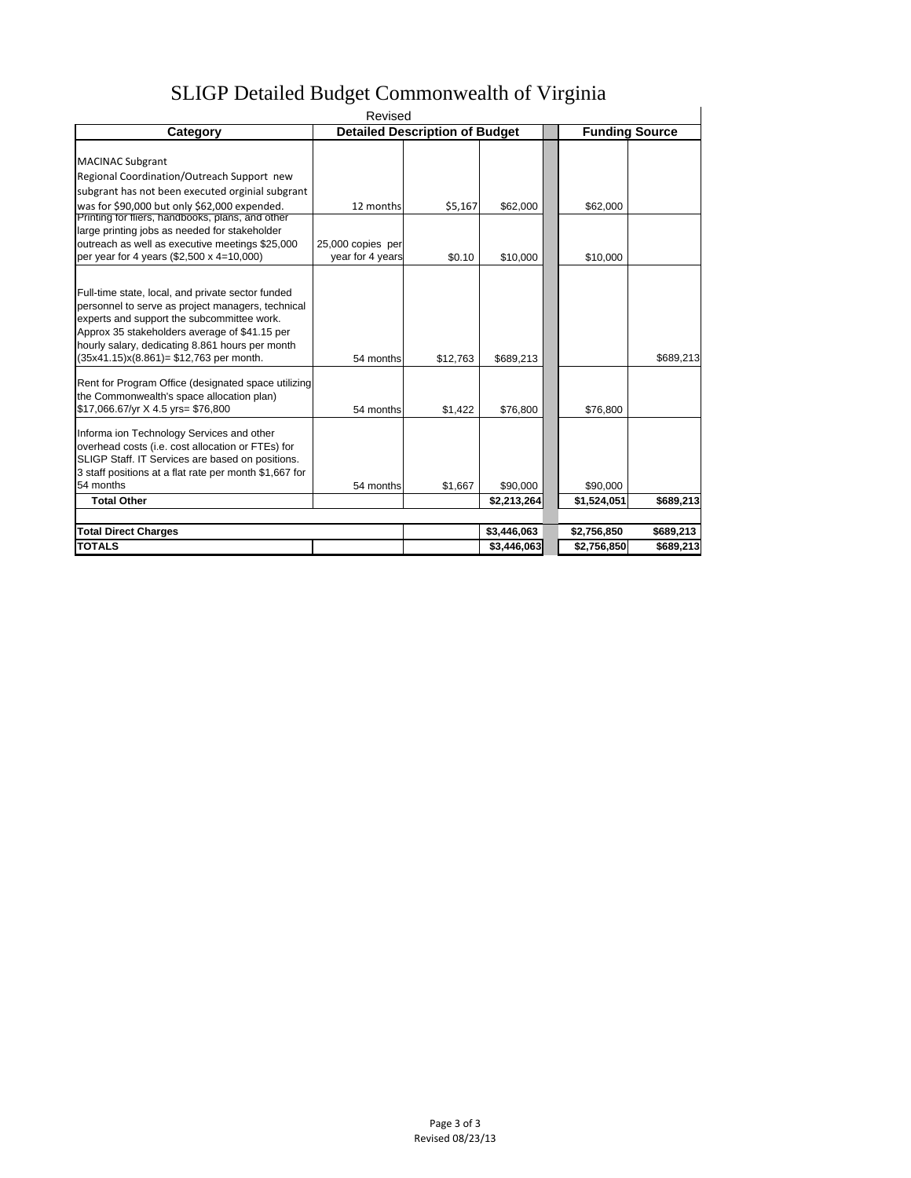# SLIGP Detailed Budget Commonwealth of Virginia

|                                                                                                        | Revised           |                                       |             |             |                       |
|--------------------------------------------------------------------------------------------------------|-------------------|---------------------------------------|-------------|-------------|-----------------------|
| Category                                                                                               |                   | <b>Detailed Description of Budget</b> |             |             | <b>Funding Source</b> |
|                                                                                                        |                   |                                       |             |             |                       |
| <b>MACINAC Subgrant</b>                                                                                |                   |                                       |             |             |                       |
| Regional Coordination/Outreach Support new                                                             |                   |                                       |             |             |                       |
| subgrant has not been executed orginial subgrant                                                       |                   |                                       |             |             |                       |
| was for \$90,000 but only \$62,000 expended.                                                           | 12 months         | \$5,167                               | \$62,000    | \$62,000    |                       |
| Printing for fliers, handbooks, plans, and other                                                       |                   |                                       |             |             |                       |
| large printing jobs as needed for stakeholder                                                          |                   |                                       |             |             |                       |
| outreach as well as executive meetings \$25,000                                                        | 25,000 copies per |                                       |             |             |                       |
| per year for 4 years (\$2,500 x 4=10,000)                                                              | year for 4 years  | \$0.10                                | \$10,000    | \$10,000    |                       |
|                                                                                                        |                   |                                       |             |             |                       |
|                                                                                                        |                   |                                       |             |             |                       |
| Full-time state, local, and private sector funded<br>personnel to serve as project managers, technical |                   |                                       |             |             |                       |
| experts and support the subcommittee work.                                                             |                   |                                       |             |             |                       |
| Approx 35 stakeholders average of \$41.15 per                                                          |                   |                                       |             |             |                       |
| hourly salary, dedicating 8.861 hours per month                                                        |                   |                                       |             |             |                       |
| $(35x41.15)x(8.861) = $12,763$ per month.                                                              | 54 months         | \$12.763                              | \$689,213   |             | \$689,213             |
|                                                                                                        |                   |                                       |             |             |                       |
| Rent for Program Office (designated space utilizing                                                    |                   |                                       |             |             |                       |
| the Commonwealth's space allocation plan)                                                              |                   |                                       |             |             |                       |
| \$17,066.67/yr X 4.5 yrs= \$76,800                                                                     | 54 months         | \$1,422                               | \$76,800    | \$76,800    |                       |
|                                                                                                        |                   |                                       |             |             |                       |
| Informa ion Technology Services and other                                                              |                   |                                       |             |             |                       |
| overhead costs (i.e. cost allocation or FTEs) for                                                      |                   |                                       |             |             |                       |
| SLIGP Staff. IT Services are based on positions.                                                       |                   |                                       |             |             |                       |
| 3 staff positions at a flat rate per month \$1,667 for                                                 |                   |                                       |             |             |                       |
| 54 months                                                                                              | 54 months         | \$1,667                               | \$90,000    | \$90,000    |                       |
| <b>Total Other</b>                                                                                     |                   |                                       | \$2,213,264 | \$1,524,051 | \$689,213             |
|                                                                                                        |                   |                                       |             |             |                       |
| <b>Total Direct Charges</b>                                                                            |                   |                                       | \$3,446,063 | \$2,756,850 | \$689,213             |
| <b>TOTALS</b>                                                                                          |                   |                                       | \$3.446.063 | \$2,756,850 | \$689,213             |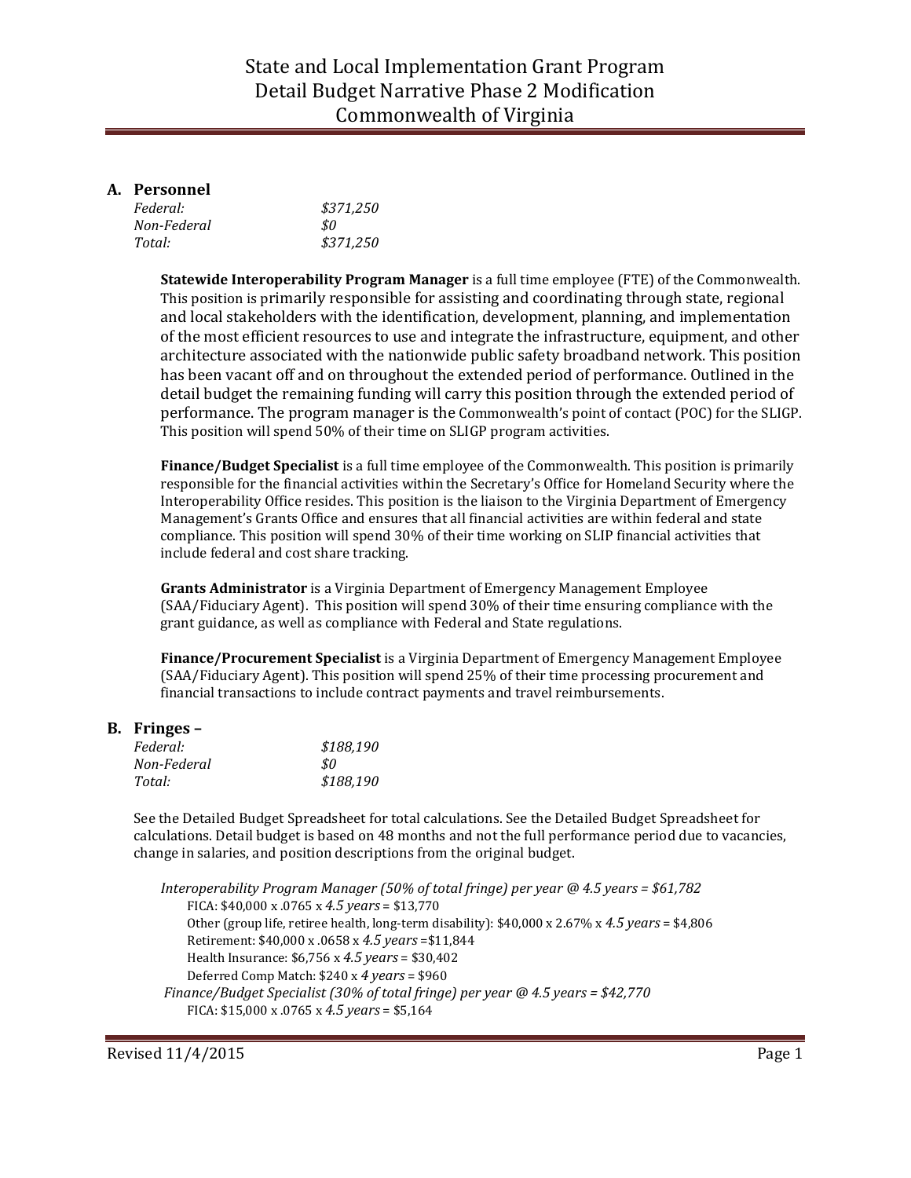## State and Local Implementation Grant Program Detail Budget Narrative Phase 2 Modification Commonwealth of Virginia

#### **A. Personnel**

| Federal:    | \$371,250 |
|-------------|-----------|
| Non-Federal | \$0       |
| Total:      | \$371,250 |

**Statewide Interoperability Program Manager** is a full time employee (FTE) of the Commonwealth. This position is primarily responsible for assisting and coordinating through state, regional and local stakeholders with the identification, development, planning, and implementation of the most efficient resources to use and integrate the infrastructure, equipment, and other architecture associated with the nationwide public safety broadband network. This position has been vacant off and on throughout the extended period of performance. Outlined in the detail budget the remaining funding will carry this position through the extended period of performance. The program manager is the Commonwealth's point of contact (POC) for the SLIGP. This position will spend 50% of their time on SLIGP program activities.

**Finance/Budget Specialist** is a full time employee of the Commonwealth. This position is primarily responsible for the financial activities within the Secretary's Office for Homeland Security where the Interoperability Office resides. This position is the liaison to the Virginia Department of Emergency Management's Grants Office and ensures that all financial activities are within federal and state compliance. This position will spend 30% of their time working on SLIP financial activities that include federal and cost share tracking.

**Grants Administrator** is a Virginia Department of Emergency Management Employee (SAA/Fiduciary Agent). This position will spend 30% of their time ensuring compliance with the grant guidance, as well as compliance with Federal and State regulations.

**Finance/Procurement Specialist** is a Virginia Department of Emergency Management Employee (SAA/Fiduciary Agent). This position will spend 25% of their time processing procurement and financial transactions to include contract payments and travel reimbursements.

#### **B. Fringes –**

| Federal:    | \$188,190 |
|-------------|-----------|
| Non-Federal | .SO       |
| Total:      | \$188.190 |

See the Detailed Budget Spreadsheet for total calculations. See the Detailed Budget Spreadsheet for calculations. Detail budget is based on 48 months and not the full performance period due to vacancies, change in salaries, and position descriptions from the original budget.

*Interoperability Program Manager (50% of total fringe) per year @ 4.5 years = \$61,782* FICA: \$40,000 x .0765 x *4.5 years* = \$13,770 Other (group life, retiree health, long-term disability): \$40,000 x 2.67% x *4.5 years* = \$4,806 Retirement: \$40,000 x .0658 x *4.5 years* =\$11,844 Health Insurance: \$6,756 x *4.5 years* = \$30,402 Deferred Comp Match: \$240 x *4 years* = \$960 *Finance/Budget Specialist (30% of total fringe) per year @ 4.5 years = \$42,770* FICA: \$15,000 x .0765 x *4.5 years* = \$5,164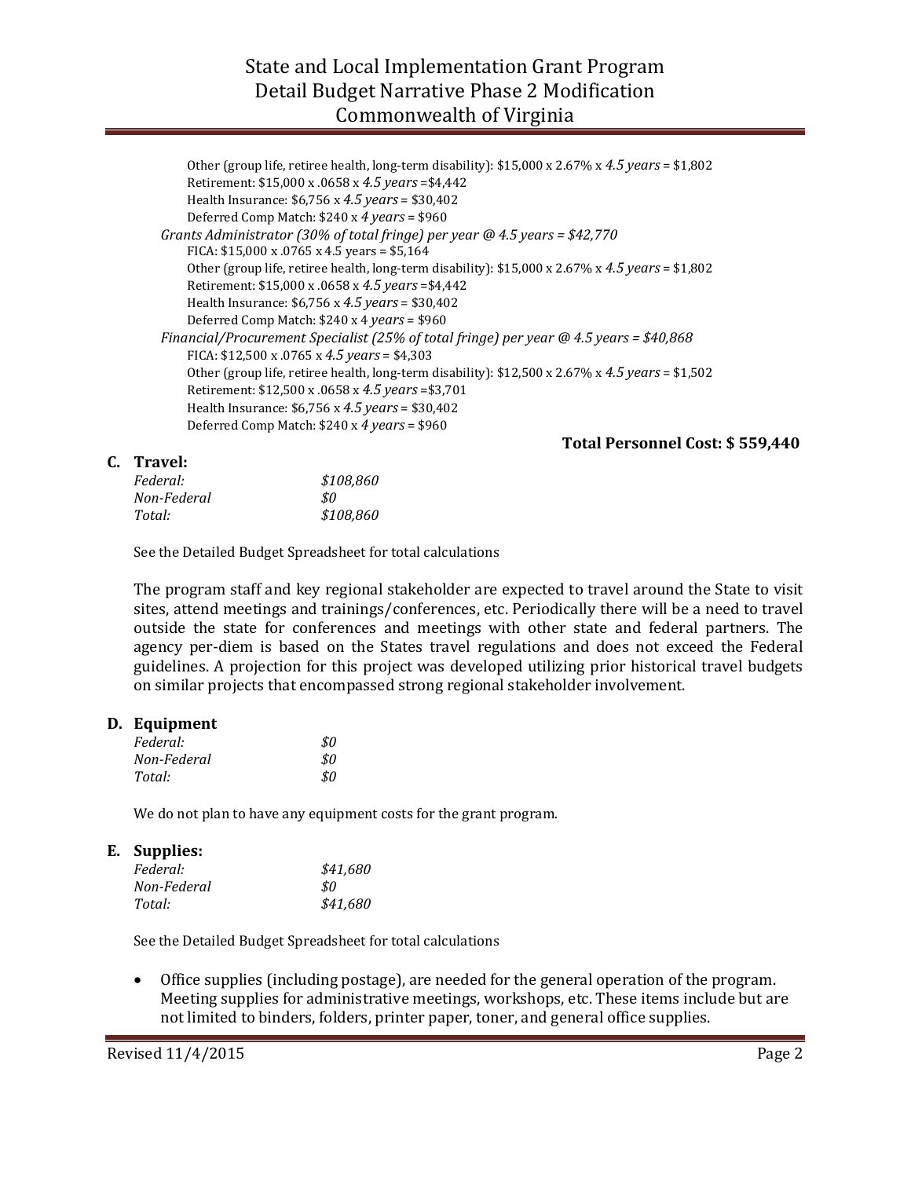## State and Local Implementation Grant Program Detail Budget Narrative Phase 2 Modification Commonwealth of Virginia

| Other (group life, retiree health, long-term disability): \$15,000 x 2.67% x 4.5 years = \$1,802 |
|--------------------------------------------------------------------------------------------------|
|                                                                                                  |
|                                                                                                  |
|                                                                                                  |
|                                                                                                  |
| Other (group life, retiree health, long-term disability): \$15,000 x 2.67% x 4.5 years = \$1,802 |
|                                                                                                  |
|                                                                                                  |
|                                                                                                  |
|                                                                                                  |
|                                                                                                  |
| Other (group life, retiree health, long-term disability): \$12,500 x 2.67% x 4.5 years = \$1,502 |
|                                                                                                  |
|                                                                                                  |
|                                                                                                  |
|                                                                                                  |

 **Total Personnel Cost: \$ 559,440**

#### **C. Travel:**

| Federal:    | \$108.860 |
|-------------|-----------|
| Non-Federal | \$0       |
| Total:      | \$108,860 |

See the Detailed Budget Spreadsheet for total calculations

The program staff and key regional stakeholder are expected to travel around the State to visit sites, attend meetings and trainings/conferences, etc. Periodically there will be a need to travel outside the state for conferences and meetings with other state and federal partners. The agency per-diem is based on the States travel regulations and does not exceed the Federal guidelines. A projection for this project was developed utilizing prior historical travel budgets on similar projects that encompassed strong regional stakeholder involvement.

#### **D. Equipment**

| Federal:    | \$0 |
|-------------|-----|
| Non-Federal | \$0 |
| Total:      | \$0 |

We do not plan to have any equipment costs for the grant program.

#### **E. Supplies:**

| Federal:    | \$41,680 |
|-------------|----------|
| Non-Federal | \$0      |
| Total:      | \$41,680 |

See the Detailed Budget Spreadsheet for total calculations

• Office supplies (including postage), are needed for the general operation of the program. Meeting supplies for administrative meetings, workshops, etc. These items include but are not limited to binders, folders, printer paper, toner, and general office supplies.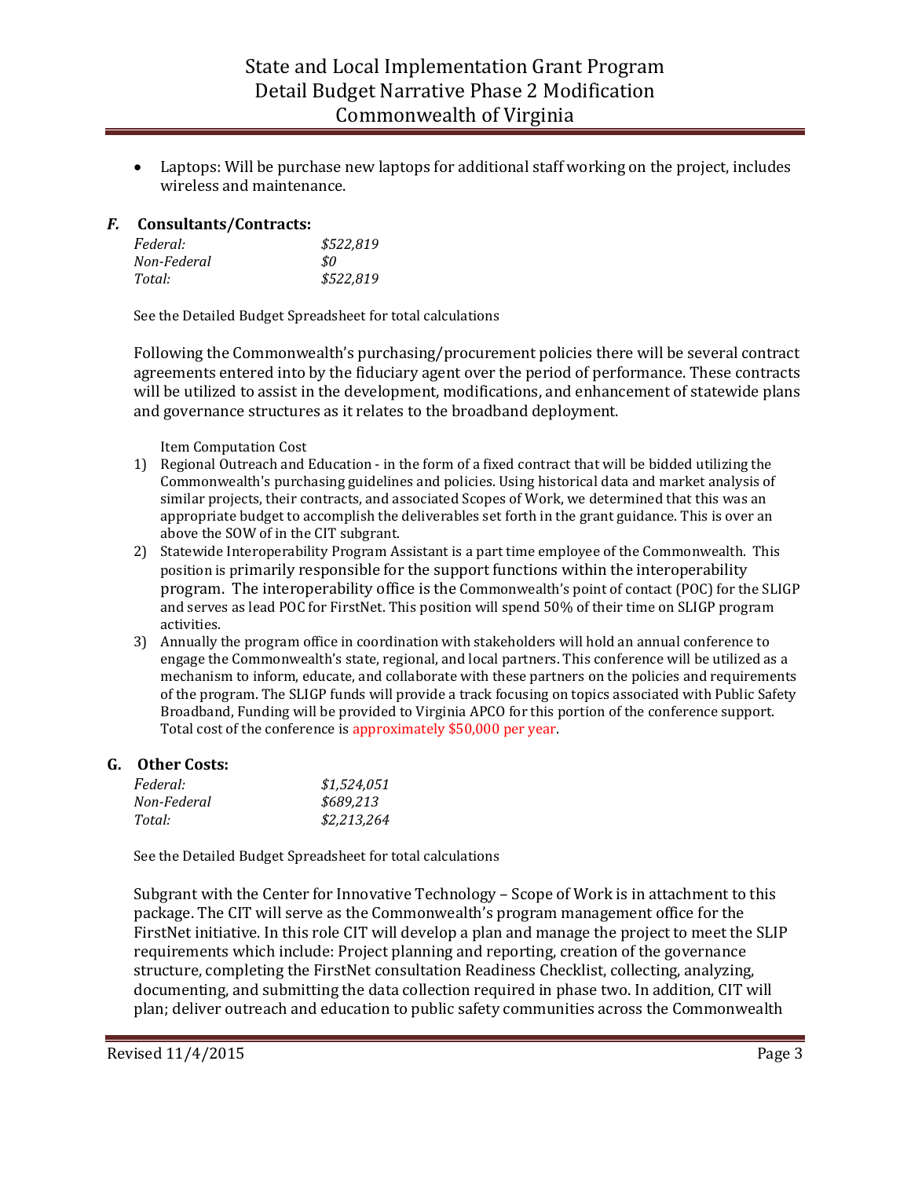• Laptops: Will be purchase new laptops for additional staff working on the project, includes wireless and maintenance.

#### *F.* **Consultants/Contracts:**

| Federal:    | \$522,819 |
|-------------|-----------|
| Non-Federal | S0.       |
| Total:      | \$522,819 |

See the Detailed Budget Spreadsheet for total calculations

Following the Commonwealth's purchasing/procurement policies there will be several contract agreements entered into by the fiduciary agent over the period of performance. These contracts will be utilized to assist in the development, modifications, and enhancement of statewide plans and governance structures as it relates to the broadband deployment.

Item Computation Cost

- 1) Regional Outreach and Education in the form of a fixed contract that will be bidded utilizing the Commonwealth's purchasing guidelines and policies. Using historical data and market analysis of similar projects, their contracts, and associated Scopes of Work, we determined that this was an appropriate budget to accomplish the deliverables set forth in the grant guidance. This is over an above the SOW of in the CIT subgrant.
- 2) Statewide Interoperability Program Assistant is a part time employee of the Commonwealth. This position is primarily responsible for the support functions within the interoperability program. The interoperability office is the Commonwealth's point of contact (POC) for the SLIGP and serves as lead POC for FirstNet. This position will spend 50% of their time on SLIGP program activities.
- 3) Annually the program office in coordination with stakeholders will hold an annual conference to engage the Commonwealth's state, regional, and local partners. This conference will be utilized as a mechanism to inform, educate, and collaborate with these partners on the policies and requirements of the program. The SLIGP funds will provide a track focusing on topics associated with Public Safety Broadband, Funding will be provided to Virginia APCO for this portion of the conference support. Total cost of the conference is approximately \$50,000 per year.

## **G. Other Costs:**

| <i>Federal:</i> | \$1,524,051 |
|-----------------|-------------|
| Non-Federal     | \$689.213   |
| Total:          | \$2,213,264 |

See the Detailed Budget Spreadsheet for total calculations

Subgrant with the Center for Innovative Technology – Scope of Work is in attachment to this package. The CIT will serve as the Commonwealth's program management office for the FirstNet initiative. In this role CIT will develop a plan and manage the project to meet the SLIP requirements which include: Project planning and reporting, creation of the governance structure, completing the FirstNet consultation Readiness Checklist, collecting, analyzing, documenting, and submitting the data collection required in phase two. In addition, CIT will plan; deliver outreach and education to public safety communities across the Commonwealth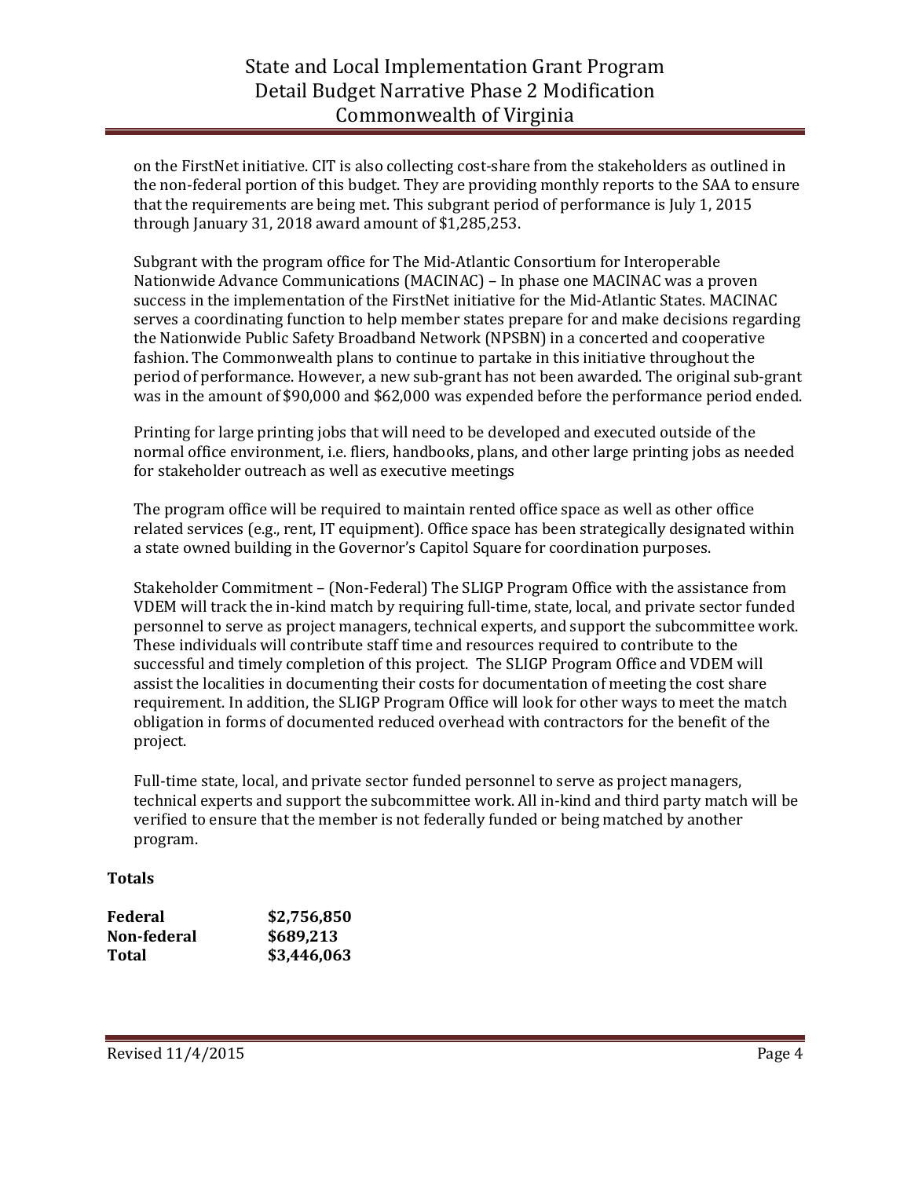# State and Local Implementation Grant Program Detail Budget Narrative Phase 2 Modification Commonwealth of Virginia

on the FirstNet initiative. CIT is also collecting cost-share from the stakeholders as outlined in the non-federal portion of this budget. They are providing monthly reports to the SAA to ensure that the requirements are being met. This subgrant period of performance is July 1, 2015 through January 31, 2018 award amount of \$1,285,253.

Subgrant with the program office for The Mid-Atlantic Consortium for Interoperable Nationwide Advance Communications (MACINAC) – In phase one MACINAC was a proven success in the implementation of the FirstNet initiative for the Mid-Atlantic States. MACINAC serves a coordinating function to help member states prepare for and make decisions regarding the Nationwide Public Safety Broadband Network (NPSBN) in a concerted and cooperative fashion. The Commonwealth plans to continue to partake in this initiative throughout the period of performance. However, a new sub-grant has not been awarded. The original sub-grant was in the amount of \$90,000 and \$62,000 was expended before the performance period ended.

Printing for large printing jobs that will need to be developed and executed outside of the normal office environment, i.e. fliers, handbooks, plans, and other large printing jobs as needed for stakeholder outreach as well as executive meetings

The program office will be required to maintain rented office space as well as other office related services (e.g., rent, IT equipment). Office space has been strategically designated within a state owned building in the Governor's Capitol Square for coordination purposes.

Stakeholder Commitment – (Non-Federal) The SLIGP Program Office with the assistance from VDEM will track the in-kind match by requiring full-time, state, local, and private sector funded personnel to serve as project managers, technical experts, and support the subcommittee work. These individuals will contribute staff time and resources required to contribute to the successful and timely completion of this project. The SLIGP Program Office and VDEM will assist the localities in documenting their costs for documentation of meeting the cost share requirement. In addition, the SLIGP Program Office will look for other ways to meet the match obligation in forms of documented reduced overhead with contractors for the benefit of the project.

Full-time state, local, and private sector funded personnel to serve as project managers, technical experts and support the subcommittee work. All in-kind and third party match will be verified to ensure that the member is not federally funded or being matched by another program.

## **Totals**

| Federal     | \$2,756,850 |
|-------------|-------------|
| Non-federal | \$689,213   |
| Total       | \$3,446,063 |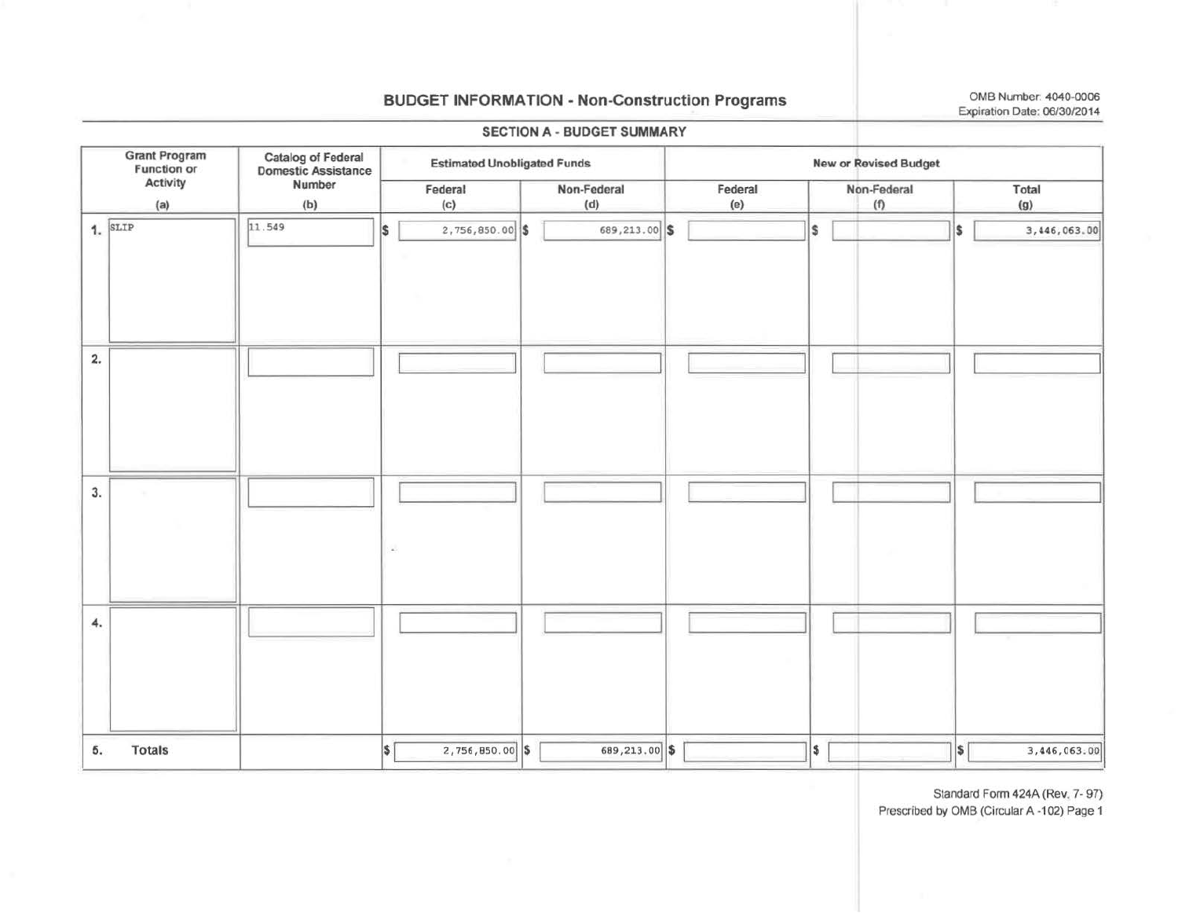## **BUDGET INFORMATION - Non-Construction Programs**

OMB Number: 4040-0006 Expiration Date: 06/30/2014

|                                                                                                                              |               |        |                                    |                   | <b>SECTION A - BUDGET SUMMARY</b> |                |                    |                  |              |
|------------------------------------------------------------------------------------------------------------------------------|---------------|--------|------------------------------------|-------------------|-----------------------------------|----------------|--------------------|------------------|--------------|
| <b>Grant Program</b><br>Function or<br><b>Catalog of Federal<br/>Domestic Assistance</b><br>Activity<br>Number<br>(a)<br>(b) |               |        | <b>Estimated Unobligated Funds</b> |                   |                                   |                |                    |                  |              |
|                                                                                                                              |               |        |                                    | Federal<br>(c)    | Non-Federal<br>(d)                | Federal<br>(e) | Non-Federal<br>(1) |                  | Total<br>(g) |
| $1.$ SLIP                                                                                                                    |               | 11.549 | I\$                                | 2,756,850.00 \$   | 689, 213.00 \$                    |                | \$                 | l\$              | 3,446,063.00 |
| 2.                                                                                                                           |               |        |                                    |                   |                                   |                |                    |                  |              |
| 3.                                                                                                                           |               |        | $\omega_{\rm c}$                   |                   |                                   |                |                    |                  |              |
| 4.                                                                                                                           |               |        |                                    |                   |                                   |                |                    |                  |              |
| 5.                                                                                                                           | <b>Totals</b> |        | $\vert$ \$                         | $2,756,850.00$ \$ | 689,213.00 \$                     |                | \$                 | $\boldsymbol{s}$ | 3,446,063.00 |

Standard Form 424A (Rev. 7-97)

Prescribed by OMB (Circular A -102) Page 1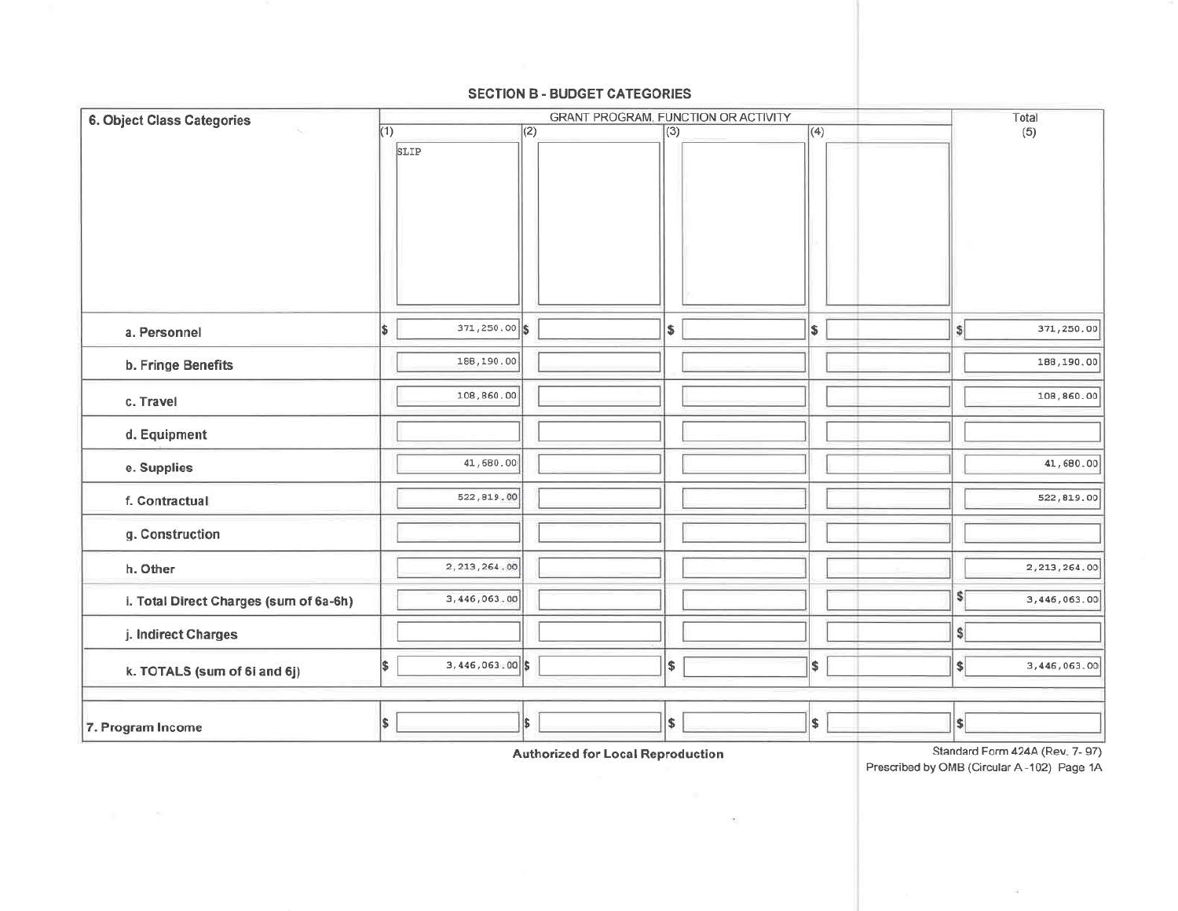#### **SECTION B - BUDGET CATEGORIES**

| 6. Object Class Categories             | (1)          |                   | Total         |     |     |                              |                |  |
|----------------------------------------|--------------|-------------------|---------------|-----|-----|------------------------------|----------------|--|
| ×.                                     |              | SLIP              | (2)           | (3) | (4) |                              | (5)            |  |
|                                        |              |                   |               |     |     |                              |                |  |
| a. Personnel                           | <sup>5</sup> | 371,250.00 \$     |               | \$  | \$  | $\vert$                      | 371,250.00     |  |
| b. Fringe Benefits                     |              | 188,190.00        |               |     |     |                              | 188,190.00     |  |
| c. Travel                              |              | 108,860.00        |               |     |     |                              | 108,860.00     |  |
| d. Equipment                           |              |                   |               |     |     |                              |                |  |
| e. Supplies                            |              | 41,680.00         |               |     |     |                              | 41,680.00      |  |
| f. Contractual                         |              | 522,819.00        |               |     |     |                              | 522,819.00     |  |
| g. Construction                        |              |                   |               |     |     |                              |                |  |
| h. Other                               |              | 2, 213, 264, 00   |               |     |     |                              | 2, 213, 264.00 |  |
| i. Total Direct Charges (sum of 6a-6h) |              | 3,446,063.00      |               |     |     | $\frac{1}{2}$                | 3,446,063.00   |  |
| j. Indirect Charges                    |              |                   |               |     |     | $\vert$                      |                |  |
| k. TOTALS (sum of 6i and 6j)           | \$           | $3,446,063,00$ \$ |               | \$  | \$  | $\left  \frac{1}{2} \right $ | 3,446,063.00   |  |
| 7. Program Income                      | \$           |                   | <sup>\$</sup> | \$  | \$  | S                            |                |  |

**Authorized for Local Reproduction** 

 $\label{eq:1.1} \begin{array}{c} \left\{ \begin{array}{c} \left\langle \Phi_{\alpha} \right\rangle \end{array} \right\} \end{array}$ 

Standard Form 424A (Rev. 7-97) Prescribed by OMB (Circular A-102) Page 1A

 $\sim$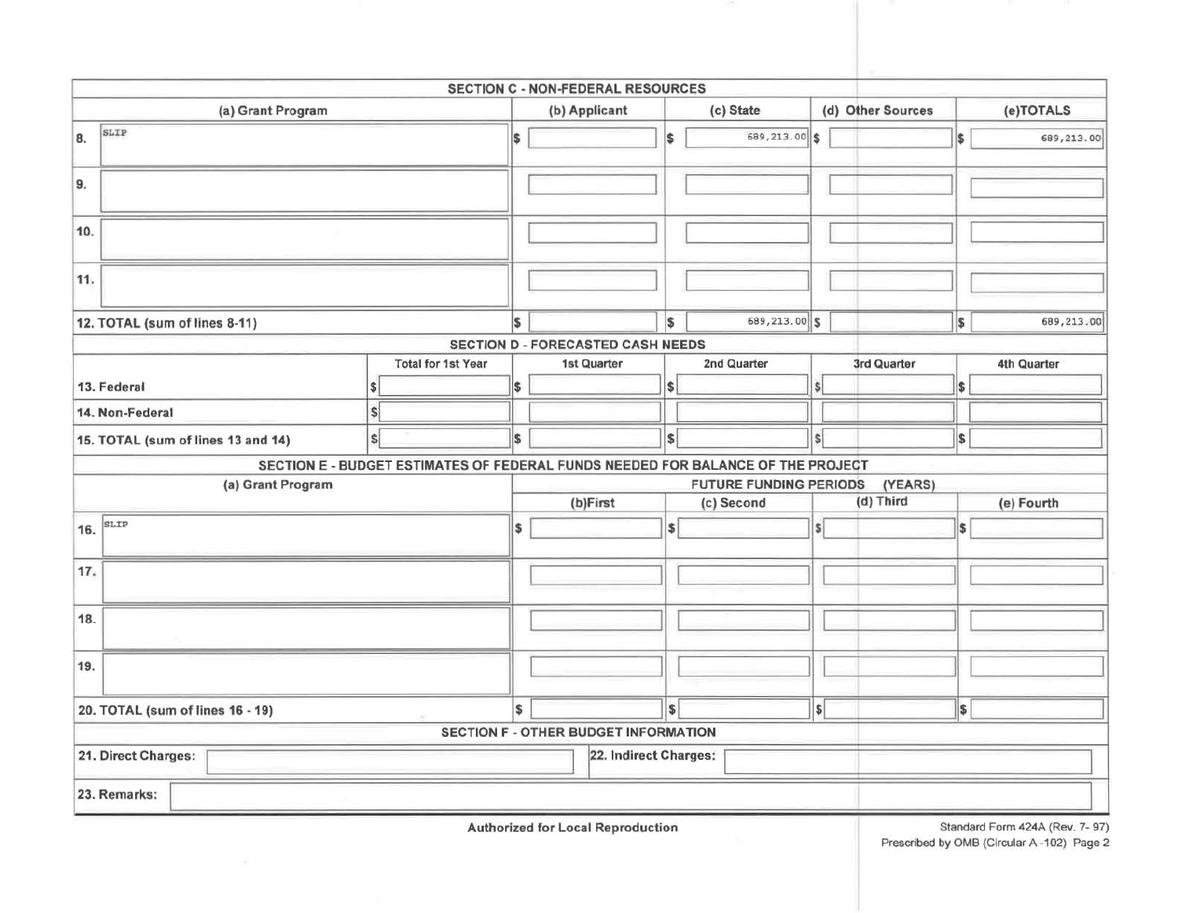|                                                                                 |                           | SECTION C - NON-FEDERAL RESOURCES           |                   |                               |                          |                   |            |             |  |
|---------------------------------------------------------------------------------|---------------------------|---------------------------------------------|-------------------|-------------------------------|--------------------------|-------------------|------------|-------------|--|
| (a) Grant Program                                                               |                           | (b) Applicant                               |                   | (c) State                     |                          | (d) Other Sources | (e)TOTALS  |             |  |
| SLIP<br>8.                                                                      | IS.                       |                                             | \$                | 689,213.00 \$                 |                          |                   | \$         | 689,213.00  |  |
| 9.                                                                              |                           |                                             |                   |                               |                          |                   |            |             |  |
| 10.                                                                             |                           |                                             |                   |                               |                          |                   |            |             |  |
| 11.                                                                             |                           |                                             |                   |                               |                          |                   |            |             |  |
| 12. TOTAL (sum of lines 8-11)                                                   |                           |                                             | \$                | 689,213.00 \$                 |                          |                   | \$         | 689,213.00  |  |
|                                                                                 |                           | <b>SECTION D - FORECASTED CASH NEEDS</b>    |                   |                               |                          |                   |            |             |  |
|                                                                                 | <b>Total for 1st Year</b> | 1st Quarter                                 |                   | 2nd Quarter                   |                          | 3rd Quarter       |            | 4th Quarter |  |
| 13. Federal                                                                     | \$                        |                                             | $\vert$ \$        |                               | $\frac{1}{2}$            |                   | \$         |             |  |
| 14. Non-Federal<br>S                                                            |                           |                                             |                   |                               |                          |                   |            |             |  |
| 15. TOTAL (sum of lines 13 and 14)<br>S.                                        | \$                        |                                             | $\vert$           |                               | $\frac{1}{2}$            |                   | $\vert$ \$ |             |  |
| SECTION E - BUDGET ESTIMATES OF FEDERAL FUNDS NEEDED FOR BALANCE OF THE PROJECT |                           |                                             |                   |                               |                          |                   |            |             |  |
| (a) Grant Program                                                               |                           |                                             |                   | <b>FUTURE FUNDING PERIODS</b> |                          | (YEARS)           |            |             |  |
|                                                                                 |                           | (b)First                                    |                   | (c) Second                    |                          | (d) Third         |            | (e) Fourth  |  |
| SLIP<br>16.                                                                     | \$                        |                                             | $\vert$ \$        |                               | $\vert$ s                |                   | \$         |             |  |
| 17.                                                                             |                           |                                             |                   |                               |                          |                   |            |             |  |
| 18.                                                                             |                           |                                             |                   |                               |                          |                   |            |             |  |
| 19.                                                                             |                           |                                             |                   |                               |                          |                   |            |             |  |
| 20. TOTAL (sum of lines 16 - 19)                                                |                           | \$                                          | $\vert$ s $\vert$ |                               | $\vert \mathsf{s} \vert$ |                   | \$         |             |  |
|                                                                                 |                           | <b>SECTION F - OTHER BUDGET INFORMATION</b> |                   |                               |                          |                   |            |             |  |
| 21. Direct Charges:                                                             |                           | 22. Indirect Charges:                       |                   |                               |                          |                   |            |             |  |
| 23. Remarks:                                                                    |                           |                                             |                   |                               |                          |                   |            |             |  |

Authorized for Local Reproduction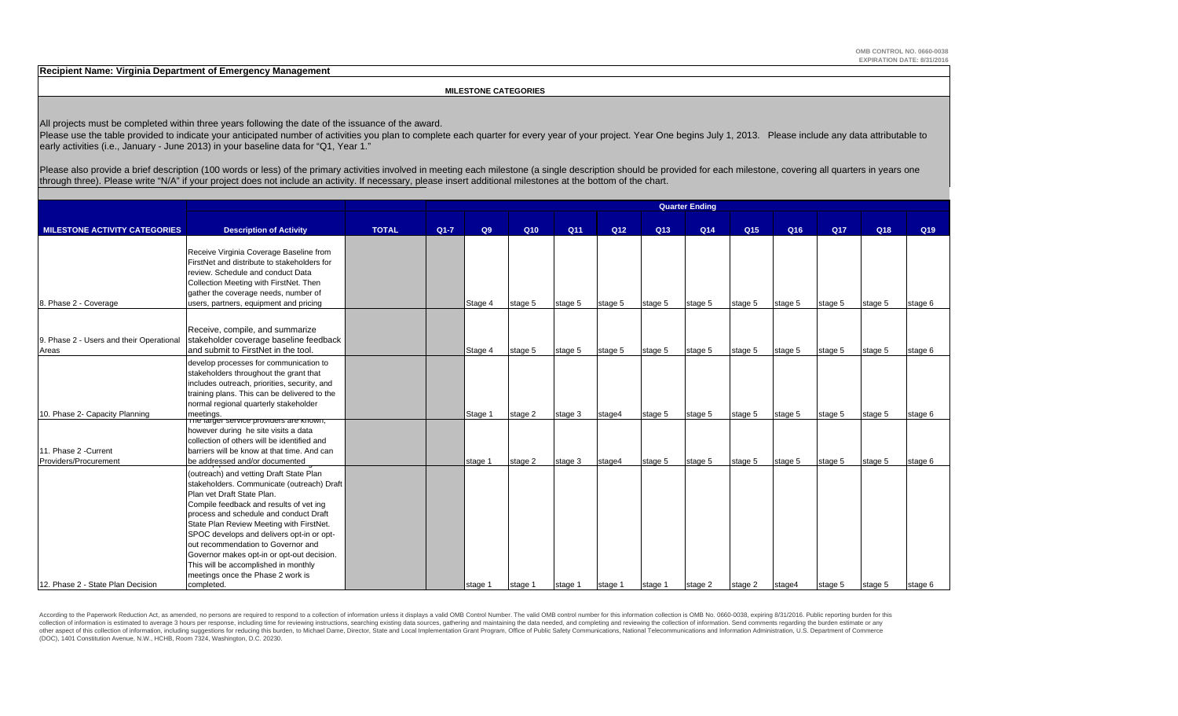**Recipient Name: Virginia Department of Emergency Management**

 **MILESTONE CATEGORIES**

All projects must be completed within three years following the date of the issuance of the award.

Please use the table provided to indicate your anticipated number of activities you plan to complete each quarter for every year of your project. Year One begins July 1, 2013. Please include any data attributable to early activities (i.e., January - June 2013) in your baseline data for "Q1, Year 1."

Please also provide a brief description (100 words or less) of the primary activities involved in meeting each milestone (a single description should be provided for each milestone, covering all quarters in years one through three). Please write "N/A" if your project does not include an activity. If necessary, please insert additional milestones at the bottom of the chart.

|                                                                                                                                                                                                                                                                                                                                                                                                                                                                    | <b>Quarter Ending</b>                        |              |         |               |         |                |                            |                |                |                            |               |                |                 |
|--------------------------------------------------------------------------------------------------------------------------------------------------------------------------------------------------------------------------------------------------------------------------------------------------------------------------------------------------------------------------------------------------------------------------------------------------------------------|----------------------------------------------|--------------|---------|---------------|---------|----------------|----------------------------|----------------|----------------|----------------------------|---------------|----------------|-----------------|
| <b>MILESTONE ACTIVITY CATEGORIES</b>                                                                                                                                                                                                                                                                                                                                                                                                                               |                                              | $Q1 - 7$     |         | Q10           |         |                |                            |                |                |                            |               |                | Q <sub>19</sub> |
| Receive Virginia Coverage Baseline from<br>FirstNet and distribute to stakeholders for<br>review. Schedule and conduct Data<br>Collection Meeting with FirstNet. Then<br>gather the coverage needs, number of<br>users, partners, equipment and pricing                                                                                                                                                                                                            |                                              |              | Stage 4 | stage 5       | stage 5 | stage 5        | stage 5                    | stage 5        | stage 5        | stage 5                    | stage 5       | stage 5        | stage 6         |
| Receive, compile, and summarize<br>stakeholder coverage baseline feedback<br>and submit to FirstNet in the tool.                                                                                                                                                                                                                                                                                                                                                   |                                              |              | Stage 4 | stage 5       | stage 5 | stage 5        | stage 5                    | stage 5        | stage 5        | stage 5                    | stage 5       | stage 5        | stage 6         |
| develop processes for communication to<br>stakeholders throughout the grant that<br>includes outreach, priorities, security, and<br>training plans. This can be delivered to the<br>normal regional quarterly stakeholder                                                                                                                                                                                                                                          |                                              |              |         |               |         |                |                            |                |                |                            |               |                |                 |
| meetings.<br>The larger service providers are known;<br>however during he site visits a data<br>collection of others will be identified and                                                                                                                                                                                                                                                                                                                        |                                              |              | Stage 1 | stage 2       | stage 3 | stage4         | stage 5                    | stage 5        | stage 5        | stage 5                    | stage 5       | stage 5        | stage 6         |
| barriers will be know at that time. And can<br>be addressed and/or documented                                                                                                                                                                                                                                                                                                                                                                                      |                                              |              | stage 1 | stage 2       | stage 3 | stage4         | stage 5                    | stage 5        | stage 5        | stage 5                    | stage 5       | stage 5        | stage 6         |
| (outreach) and vetting Draft State Plan<br>stakeholders. Communicate (outreach) Draft<br>Plan vet Draft State Plan.<br>Compile feedback and results of vet ing<br>process and schedule and conduct Draft<br>State Plan Review Meeting with FirstNet.<br>SPOC develops and delivers opt-in or opt-<br>out recommendation to Governor and<br>Governor makes opt-in or opt-out decision.<br>This will be accomplished in monthly<br>meetings once the Phase 2 work is |                                              |              |         |               |         |                |                            |                |                |                            |               |                | stage 6         |
|                                                                                                                                                                                                                                                                                                                                                                                                                                                                    | <b>Description of Activity</b><br>completed. | <b>TOTAL</b> |         | Q9<br>stage 1 | stage 1 | Q11<br>stage 1 | Q <sub>12</sub><br>stage 1 | Q13<br>stage 1 | Q14<br>stage 2 | Q <sub>15</sub><br>stage 2 | Q16<br>stage4 | Q17<br>stage 5 | Q18<br>stage 5  |

According to the Paperwork Reduction Act, as amended, no persons are required to respond to a collection of information unless it displays a valid OMB Control Number. The valid OMB control number for this information colle collection of information is estimated to average 3 hours per response, including time for reviewing instructions, searching existing data sources, gathering and maintaining the data needed, and completing and reviewing th other aspect of this collection of information, including suggestions for reducing this burden, to Michael Dame, Director, State and Local Implementation Grant Program, Office of Public Safety Communications, National Tele (DOC), 1401 Constitution Avenue, N.W., HCHB, Room 7324, Washington, D.C. 20230.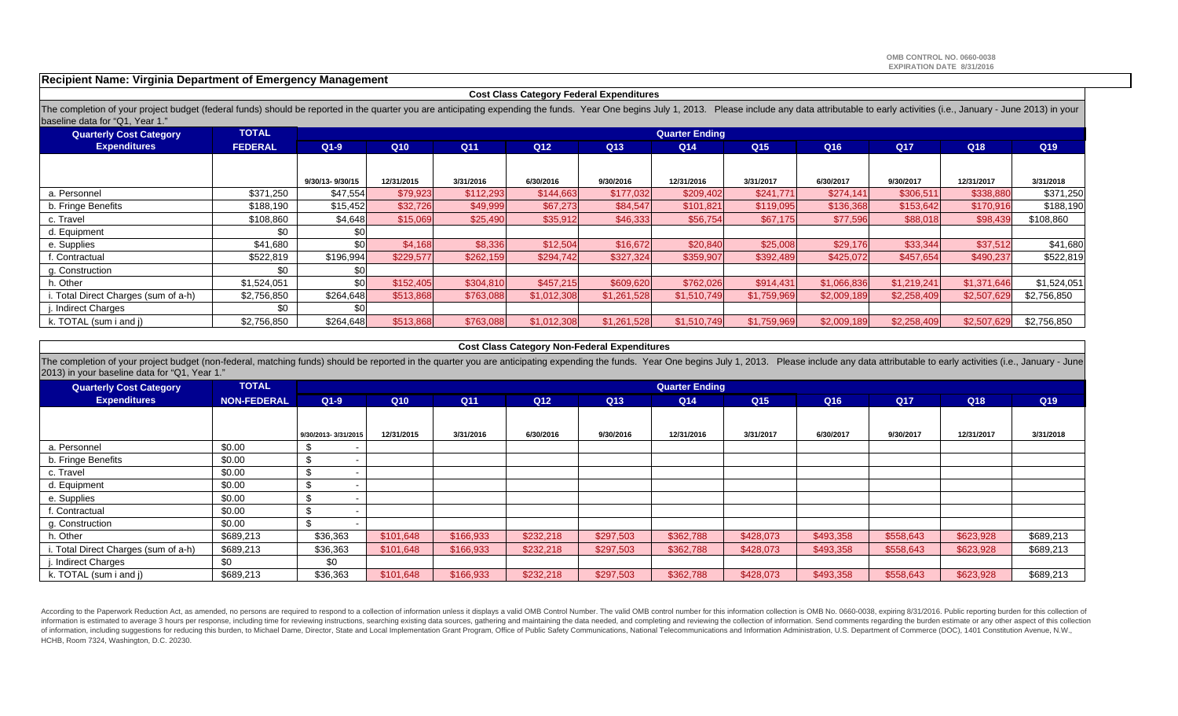#### **Recipient Name: Virginia Department of Emergency Management**

| <b>Cost Class Category Federal Expenditures</b> |  |
|-------------------------------------------------|--|
|-------------------------------------------------|--|

The completion of your project budget (federal funds) should be reported in the quarter you are anticipating expending the funds. Year One begins July 1, 2013. Please include any data attributable to early activities (i.e. baseline data for "Q1, Year 1."

| <b>Quarterly Cost Category</b>      | <b>TOTAL</b>   |                  |            |                 |                 |                 | <b>Quarter Ending</b> |                 |             |             |             |                 |
|-------------------------------------|----------------|------------------|------------|-----------------|-----------------|-----------------|-----------------------|-----------------|-------------|-------------|-------------|-----------------|
| <b>Expenditures</b>                 | <b>FEDERAL</b> | $Q1-9$           | Q10        | Q <sub>11</sub> | Q <sub>12</sub> | Q <sub>13</sub> | Q <sub>14</sub>       | Q <sub>15</sub> | Q16         | <b>Q17</b>  | Q18         | Q <sub>19</sub> |
|                                     |                |                  |            |                 |                 |                 |                       |                 |             |             |             |                 |
|                                     |                | 9/30/13-9/30/15  | 12/31/2015 | 3/31/2016       | 6/30/2016       | 9/30/2016       | 12/31/2016            | 3/31/2017       | 6/30/2017   | 9/30/2017   | 12/31/2017  | 3/31/2018       |
| a. Personnel                        | \$371,250      | \$47,554         | \$79,923   | \$112,293       | \$144,663       | \$177,032       | \$209,402             | \$241,771       | \$274,141   | \$306,511   | \$338,880   | \$371,250       |
| b. Fringe Benefits                  | \$188,190      | \$15,452         | \$32,726   | \$49,999        | \$67,273        | \$84,547        | \$101,821             | \$119,095       | \$136,368   | \$153,642   | \$170,916   | \$188,190       |
| c. Travel                           | \$108,860      | \$4,648          | \$15,069   | \$25,490        | \$35,912        | \$46,333        | \$56,754              | \$67,175        | \$77,596    | \$88,018    | \$98,439    | \$108,860       |
| d. Equipment                        | \$0            |                  |            |                 |                 |                 |                       |                 |             |             |             |                 |
| e. Supplies                         | \$41,680       | \$0l             | \$4,168    | \$8,336         | \$12,504        | \$16,672        | \$20,840              | \$25,008        | \$29,176    | \$33,344    | \$37,512    | \$41,680        |
| f. Contractual                      | \$522,819      | \$196,994        | \$229,577  | \$262,159       | \$294,742       | \$327,324       | \$359,907             | \$392,489       | \$425,072   | \$457,654   | \$490,237   | \$522,819       |
| g. Construction                     | \$0            |                  |            |                 |                 |                 |                       |                 |             |             |             |                 |
| h. Other                            | \$1,524,051    | \$0 <sub>1</sub> | \$152,405  | \$304,810       | \$457,215       | \$609,620       | \$762,026             | \$914,431       | \$1,066,836 | \$1,219,241 | \$1,371,646 | \$1,524,051     |
| . Total Direct Charges (sum of a-h) | \$2,756,850    | \$264,648        | \$513,868  | \$763,088       | \$1,012,308     | \$1,261,528     | \$1,510,749           | \$1,759,969     | \$2,009,189 | \$2,258,409 | \$2,507,629 | \$2,756,850     |
| j. Indirect Charges                 | \$0            |                  |            |                 |                 |                 |                       |                 |             |             |             |                 |
| k. TOTAL (sum i and j)              | \$2,756,850    | \$264,648        | \$513,868  | \$763,088       | \$1,012,308     | \$1,261,528     | \$1,510,749           | \$1,759,969     | \$2,009,189 | \$2,258,409 | \$2,507,629 | \$2,756,850     |

#### **Cost Class Category Non-Federal Expenditures**

The completion of your project budget (non-federal, matching funds) should be reported in the quarter you are anticipating expending the funds. Year One begins July 1, 2013. Please include any data attributable to early ac 2013) in your baseline data for "Q1, Year 1."

| <b>Quarterly Cost Category</b>       | <b>TOTAL</b>       |                     |                 |           |           |           | <b>Quarter Ending</b> |           |           |            |            |                 |
|--------------------------------------|--------------------|---------------------|-----------------|-----------|-----------|-----------|-----------------------|-----------|-----------|------------|------------|-----------------|
| <b>Expenditures</b>                  | <b>NON-FEDERAL</b> | $Q1-9$              | Q <sub>10</sub> | Q11       | Q12       | Q13       | Q <sub>14</sub>       | Q15       | Q16       | <b>Q17</b> | Q18        | Q <sub>19</sub> |
|                                      |                    |                     |                 |           |           |           |                       |           |           |            |            |                 |
|                                      |                    | 9/30/2013-3/31/2015 | 12/31/2015      | 3/31/2016 | 6/30/2016 | 9/30/2016 | 12/31/2016            | 3/31/2017 | 6/30/2017 | 9/30/2017  | 12/31/2017 | 3/31/2018       |
| a. Personnel                         | \$0.00             |                     |                 |           |           |           |                       |           |           |            |            |                 |
| b. Fringe Benefits                   | \$0.00             |                     |                 |           |           |           |                       |           |           |            |            |                 |
| c. Travel                            | \$0.00             |                     |                 |           |           |           |                       |           |           |            |            |                 |
| d. Equipment                         | \$0.00             |                     |                 |           |           |           |                       |           |           |            |            |                 |
| e. Supplies                          | \$0.00             |                     |                 |           |           |           |                       |           |           |            |            |                 |
| f. Contractual                       | \$0.00             | ъ                   |                 |           |           |           |                       |           |           |            |            |                 |
| g. Construction                      | \$0.00             |                     |                 |           |           |           |                       |           |           |            |            |                 |
| h. Other                             | \$689,213          | \$36,363            | \$101,648       | \$166,933 | \$232,218 | \$297,503 | \$362,788             | \$428,073 | \$493,358 | \$558,643  | \$623,928  | \$689,213       |
| i. Total Direct Charges (sum of a-h) | \$689,213          | \$36,363            | \$101,648       | \$166,933 | \$232,218 | \$297,503 | \$362,788             | \$428,073 | \$493,358 | \$558,643  | \$623,928  | \$689,213       |
| . Indirect Charges                   | \$0                | \$0                 |                 |           |           |           |                       |           |           |            |            |                 |
| k. TOTAL (sum i and j)               | \$689,213          | \$36,363            | \$101,648       | \$166,933 | \$232,218 | \$297,503 | \$362,788             | \$428,073 | \$493,358 | \$558,643  | \$623,928  | \$689,213       |

According to the Paperwork Reduction Act, as amended, no persons are required to respond to a collection of information unless it displays a valid OMB Control Number. The valid OMB control number for this information colle information is estimated to average 3 hours per response, including time for reviewing instructions, searching existing data sources, gathering and maintaining the data needed, and completing and reviewing the collection o of information, including suggestions for reducing this burden, to Michael Dame, Director, State and Local Implementation Grant Program, Office of Public Safety Communications, National Telecommunications and Information A HCHB, Room 7324, Washington, D.C. 20230.